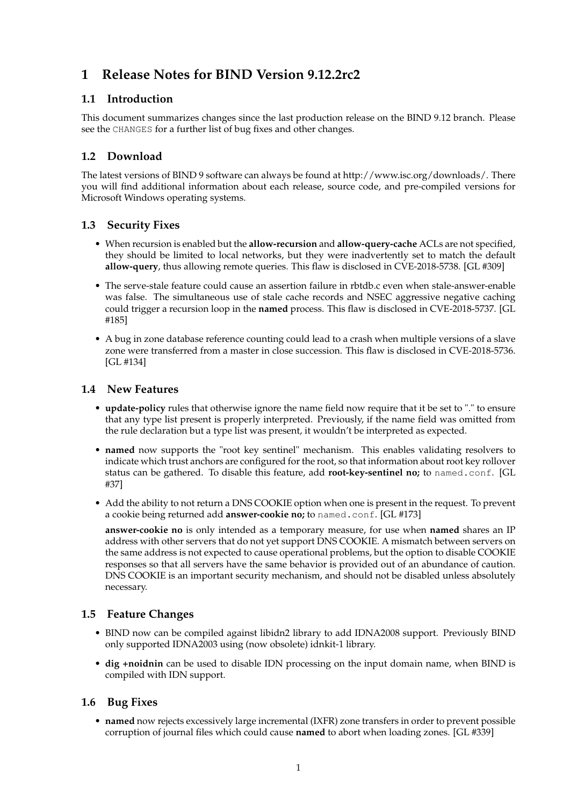# **1 Release Notes for BIND Version 9.12.2rc2**

# **1.1 Introduction**

This document summarizes changes since the last production release on the BIND 9.12 branch. Please see the CHANGES for a further list of bug fixes and other changes.

# **1.2 Download**

The latest versions of BIND 9 software can always be found at http://www.isc.org/downloads/. There you will find additional information about each release, source code, and pre-compiled versions for Microsoft Windows operating systems.

### **1.3 Security Fixes**

- When recursion is enabled but the **allow-recursion** and **allow-query-cache** ACLs are not specified, they should be limited to local networks, but they were inadvertently set to match the default **allow-query**, thus allowing remote queries. This flaw is disclosed in CVE-2018-5738. [GL #309]
- The serve-stale feature could cause an assertion failure in rbtdb.c even when stale-answer-enable was false. The simultaneous use of stale cache records and NSEC aggressive negative caching could trigger a recursion loop in the **named** process. This flaw is disclosed in CVE-2018-5737. [GL #185]
- A bug in zone database reference counting could lead to a crash when multiple versions of a slave zone were transferred from a master in close succession. This flaw is disclosed in CVE-2018-5736. [GL #134]

### **1.4 New Features**

- **update-policy** rules that otherwise ignore the name field now require that it be set to "." to ensure that any type list present is properly interpreted. Previously, if the name field was omitted from the rule declaration but a type list was present, it wouldn't be interpreted as expected.
- **named** now supports the "root key sentinel" mechanism. This enables validating resolvers to indicate which trust anchors are configured for the root, so that information about root key rollover status can be gathered. To disable this feature, add **root-key-sentinel no;** to named.conf. [GL #37]
- Add the ability to not return a DNS COOKIE option when one is present in the request. To prevent a cookie being returned add **answer-cookie no;** to named.conf. [GL #173]

**answer-cookie no** is only intended as a temporary measure, for use when **named** shares an IP address with other servers that do not yet support DNS COOKIE. A mismatch between servers on the same address is not expected to cause operational problems, but the option to disable COOKIE responses so that all servers have the same behavior is provided out of an abundance of caution. DNS COOKIE is an important security mechanism, and should not be disabled unless absolutely necessary.

# **1.5 Feature Changes**

- BIND now can be compiled against libidn2 library to add IDNA2008 support. Previously BIND only supported IDNA2003 using (now obsolete) idnkit-1 library.
- **dig +noidnin** can be used to disable IDN processing on the input domain name, when BIND is compiled with IDN support.

# **1.6 Bug Fixes**

• **named** now rejects excessively large incremental (IXFR) zone transfers in order to prevent possible corruption of journal files which could cause **named** to abort when loading zones. [GL #339]